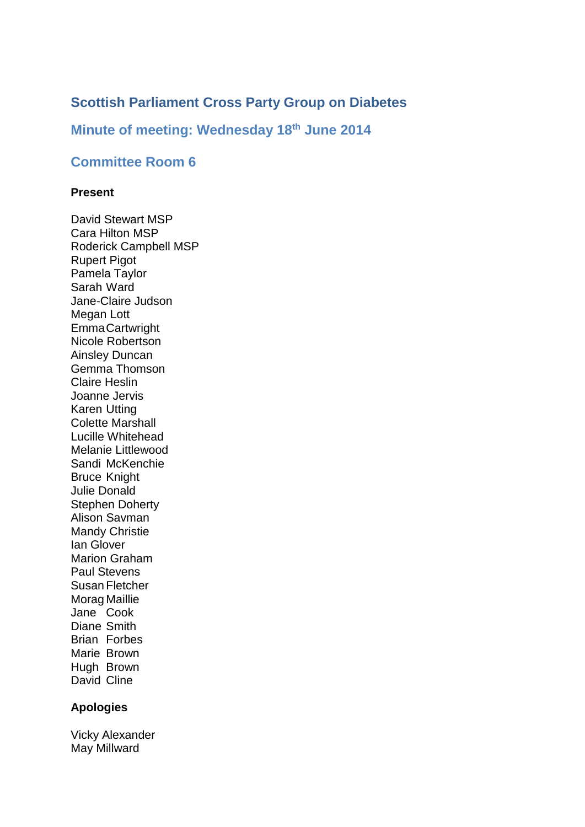# **Scottish Parliament Cross Party Group on Diabetes**

## **Minute of meeting: Wednesday 18th June 2014**

## **Committee Room 6**

#### **Present**

David Stewart MSP Cara Hilton MSP Roderick Campbell MSP Rupert Pigot Pamela Taylor Sarah Ward Jane-Claire Judson Megan Lott EmmaCartwright Nicole Robertson Ainsley Duncan Gemma Thomson Claire Heslin Joanne Jervis Karen Utting Colette Marshall Lucille Whitehead Melanie Littlewood Sandi McKenchie Bruce Knight Julie Donald Stephen Doherty Alison Savman Mandy Christie Ian Glover Marion Graham Paul Stevens Susan Fletcher Morag Maillie Jane Cook Diane Smith Brian Forbes Marie Brown Hugh Brown David Cline

#### **Apologies**

Vicky Alexander May Millward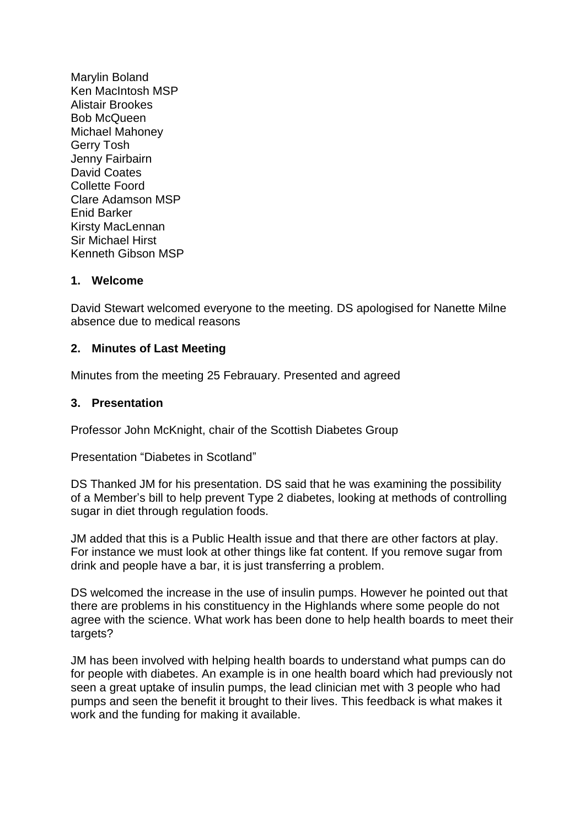Marylin Boland Ken MacIntosh MSP Alistair Brookes Bob McQueen Michael Mahoney Gerry Tosh Jenny Fairbairn David Coates Collette Foord Clare Adamson MSP Enid Barker Kirsty MacLennan Sir Michael Hirst Kenneth Gibson MSP

## **1. Welcome**

David Stewart welcomed everyone to the meeting. DS apologised for Nanette Milne absence due to medical reasons

## **2. Minutes of Last Meeting**

Minutes from the meeting 25 Febrauary. Presented and agreed

### **3. Presentation**

Professor John McKnight, chair of the Scottish Diabetes Group

Presentation "Diabetes in Scotland"

DS Thanked JM for his presentation. DS said that he was examining the possibility of a Member's bill to help prevent Type 2 diabetes, looking at methods of controlling sugar in diet through regulation foods.

JM added that this is a Public Health issue and that there are other factors at play. For instance we must look at other things like fat content. If you remove sugar from drink and people have a bar, it is just transferring a problem.

DS welcomed the increase in the use of insulin pumps. However he pointed out that there are problems in his constituency in the Highlands where some people do not agree with the science. What work has been done to help health boards to meet their targets?

JM has been involved with helping health boards to understand what pumps can do for people with diabetes. An example is in one health board which had previously not seen a great uptake of insulin pumps, the lead clinician met with 3 people who had pumps and seen the benefit it brought to their lives. This feedback is what makes it work and the funding for making it available.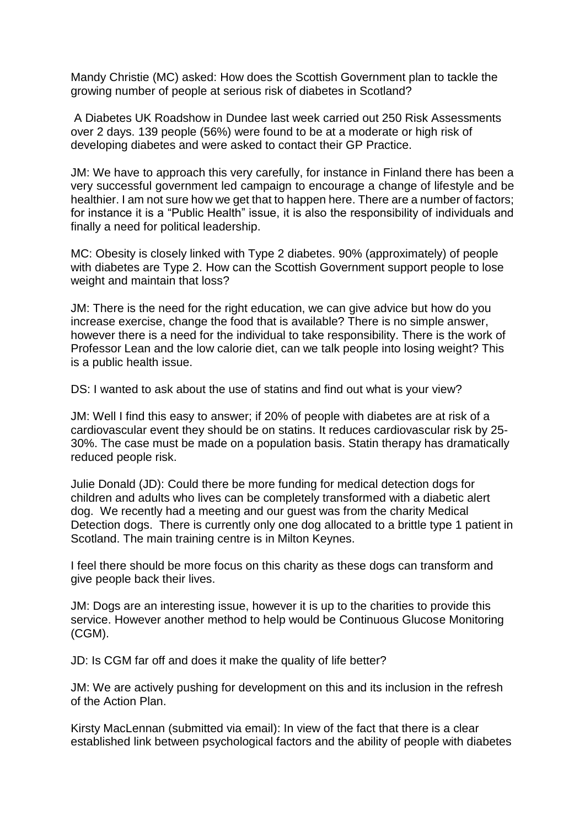Mandy Christie (MC) asked: How does the Scottish Government plan to tackle the growing number of people at serious risk of diabetes in Scotland?

A Diabetes UK Roadshow in Dundee last week carried out 250 Risk Assessments over 2 days. 139 people (56%) were found to be at a moderate or high risk of developing diabetes and were asked to contact their GP Practice.

JM: We have to approach this very carefully, for instance in Finland there has been a very successful government led campaign to encourage a change of lifestyle and be healthier. I am not sure how we get that to happen here. There are a number of factors: for instance it is a "Public Health" issue, it is also the responsibility of individuals and finally a need for political leadership.

MC: Obesity is closely linked with Type 2 diabetes. 90% (approximately) of people with diabetes are Type 2. How can the Scottish Government support people to lose weight and maintain that loss?

JM: There is the need for the right education, we can give advice but how do you increase exercise, change the food that is available? There is no simple answer, however there is a need for the individual to take responsibility. There is the work of Professor Lean and the low calorie diet, can we talk people into losing weight? This is a public health issue.

DS: I wanted to ask about the use of statins and find out what is your view?

JM: Well I find this easy to answer; if 20% of people with diabetes are at risk of a cardiovascular event they should be on statins. It reduces cardiovascular risk by 25- 30%. The case must be made on a population basis. Statin therapy has dramatically reduced people risk.

Julie Donald (JD): Could there be more funding for medical detection dogs for children and adults who lives can be completely transformed with a diabetic alert dog. We recently had a meeting and our guest was from the charity Medical Detection dogs. There is currently only one dog allocated to a brittle type 1 patient in Scotland. The main training centre is in Milton Keynes.

I feel there should be more focus on this charity as these dogs can transform and give people back their lives.

JM: Dogs are an interesting issue, however it is up to the charities to provide this service. However another method to help would be Continuous Glucose Monitoring (CGM).

JD: Is CGM far off and does it make the quality of life better?

JM: We are actively pushing for development on this and its inclusion in the refresh of the Action Plan.

Kirsty MacLennan (submitted via email): In view of the fact that there is a clear established link between psychological factors and the ability of people with diabetes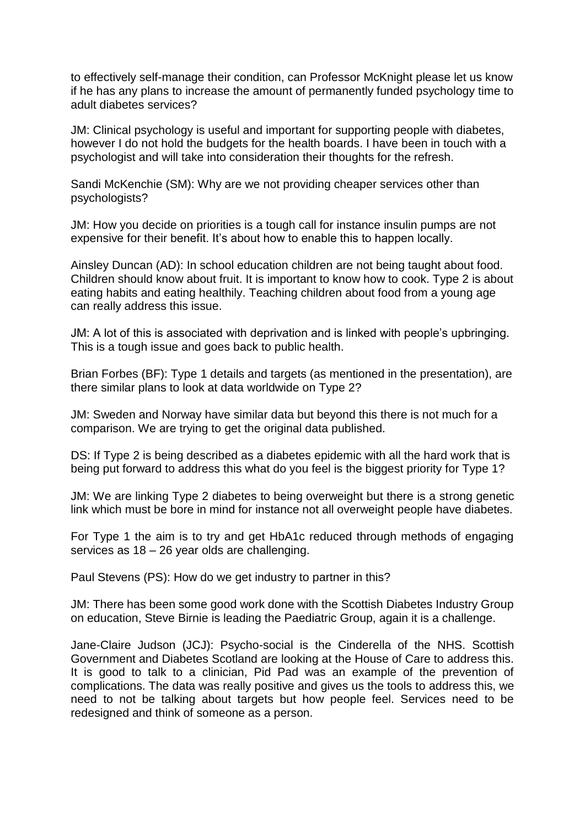to effectively self-manage their condition, can Professor McKnight please let us know if he has any plans to increase the amount of permanently funded psychology time to adult diabetes services?

JM: Clinical psychology is useful and important for supporting people with diabetes, however I do not hold the budgets for the health boards. I have been in touch with a psychologist and will take into consideration their thoughts for the refresh.

Sandi McKenchie (SM): Why are we not providing cheaper services other than psychologists?

JM: How you decide on priorities is a tough call for instance insulin pumps are not expensive for their benefit. It's about how to enable this to happen locally.

Ainsley Duncan (AD): In school education children are not being taught about food. Children should know about fruit. It is important to know how to cook. Type 2 is about eating habits and eating healthily. Teaching children about food from a young age can really address this issue.

JM: A lot of this is associated with deprivation and is linked with people's upbringing. This is a tough issue and goes back to public health.

Brian Forbes (BF): Type 1 details and targets (as mentioned in the presentation), are there similar plans to look at data worldwide on Type 2?

JM: Sweden and Norway have similar data but beyond this there is not much for a comparison. We are trying to get the original data published.

DS: If Type 2 is being described as a diabetes epidemic with all the hard work that is being put forward to address this what do you feel is the biggest priority for Type 1?

JM: We are linking Type 2 diabetes to being overweight but there is a strong genetic link which must be bore in mind for instance not all overweight people have diabetes.

For Type 1 the aim is to try and get HbA1c reduced through methods of engaging services as 18 – 26 year olds are challenging.

Paul Stevens (PS): How do we get industry to partner in this?

JM: There has been some good work done with the Scottish Diabetes Industry Group on education, Steve Birnie is leading the Paediatric Group, again it is a challenge.

Jane-Claire Judson (JCJ): Psycho-social is the Cinderella of the NHS. Scottish Government and Diabetes Scotland are looking at the House of Care to address this. It is good to talk to a clinician, Pid Pad was an example of the prevention of complications. The data was really positive and gives us the tools to address this, we need to not be talking about targets but how people feel. Services need to be redesigned and think of someone as a person.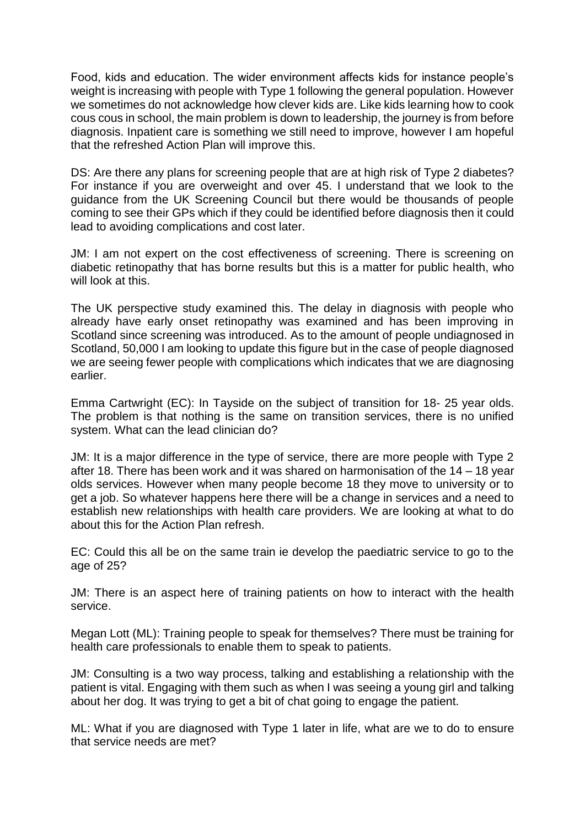Food, kids and education. The wider environment affects kids for instance people's weight is increasing with people with Type 1 following the general population. However we sometimes do not acknowledge how clever kids are. Like kids learning how to cook cous cous in school, the main problem is down to leadership, the journey is from before diagnosis. Inpatient care is something we still need to improve, however I am hopeful that the refreshed Action Plan will improve this.

DS: Are there any plans for screening people that are at high risk of Type 2 diabetes? For instance if you are overweight and over 45. I understand that we look to the guidance from the UK Screening Council but there would be thousands of people coming to see their GPs which if they could be identified before diagnosis then it could lead to avoiding complications and cost later.

JM: I am not expert on the cost effectiveness of screening. There is screening on diabetic retinopathy that has borne results but this is a matter for public health, who will look at this.

The UK perspective study examined this. The delay in diagnosis with people who already have early onset retinopathy was examined and has been improving in Scotland since screening was introduced. As to the amount of people undiagnosed in Scotland, 50,000 I am looking to update this figure but in the case of people diagnosed we are seeing fewer people with complications which indicates that we are diagnosing earlier.

Emma Cartwright (EC): In Tayside on the subject of transition for 18- 25 year olds. The problem is that nothing is the same on transition services, there is no unified system. What can the lead clinician do?

JM: It is a major difference in the type of service, there are more people with Type 2 after 18. There has been work and it was shared on harmonisation of the 14 – 18 year olds services. However when many people become 18 they move to university or to get a job. So whatever happens here there will be a change in services and a need to establish new relationships with health care providers. We are looking at what to do about this for the Action Plan refresh.

EC: Could this all be on the same train ie develop the paediatric service to go to the age of 25?

JM: There is an aspect here of training patients on how to interact with the health service.

Megan Lott (ML): Training people to speak for themselves? There must be training for health care professionals to enable them to speak to patients.

JM: Consulting is a two way process, talking and establishing a relationship with the patient is vital. Engaging with them such as when I was seeing a young girl and talking about her dog. It was trying to get a bit of chat going to engage the patient.

ML: What if you are diagnosed with Type 1 later in life, what are we to do to ensure that service needs are met?